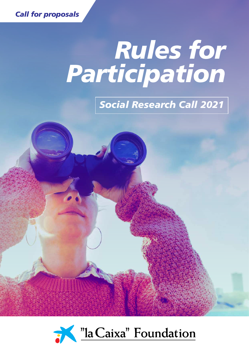

## *Rules for Participation*

## *Social Research Call 2021*



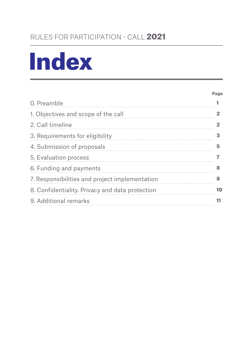## RULES FOR PARTICIPATION - CALL 2021

## Index

#### Page

| 0. Preamble                                     |    |
|-------------------------------------------------|----|
| 1. Objectives and scope of the call             |    |
| 2. Call timeline                                |    |
| 3. Requirements for eligibility                 | 3  |
| 4. Submission of proposals                      | 5  |
| 5. Evaluation process                           |    |
| 6. Funding and payments                         | 8  |
| 7. Responsibilities and project implementation  | R  |
| 8. Confidentiality. Privacy and data protection | 10 |
| 9. Additional remarks                           | 11 |
|                                                 |    |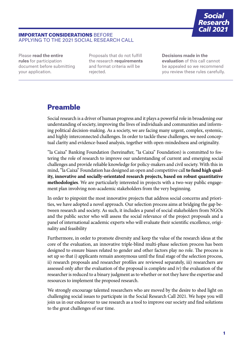

#### IMPORTANT CONSIDERATIONS BEFORE APPLYING TO THE 2021 SOCIAL RESEARCH CALL

Please **read the entire rules** for participation document before submitting your application.

Proposals that do not fulfill the research **requirements** and format criteria will be rejected.

**Decisions made in the evaluation** of this call cannot be appealed so we recommend you review these rules carefully.

## Preamble

Social research is a driver of human progress and it plays a powerful role in broadening our understanding of society, improving the lives of individuals and communities and informing political decision-making. As a society, we are facing many urgent, complex, systemic, and highly interconnected challenges. In order to tackle these challenges, we need conceptual clarity and evidence-based analysis, together with open-mindedness and originality.

"la Caixa" Banking Foundation (hereinafter, "la Caixa" Foundation) is committed to fostering the role of research to improve our understanding of current and emerging social challenges and provide reliable knowledge for policy-makers and civil society. With this in mind, "la Caixa" Foundation has designed an open and competitive call **to fund high quality, innovative and socially-orientated research projects, based on robust quantitative methodologies**. We are particularly interested in projects with a two-way public engagement plan involving non-academic stakeholders from the very beginning.

In order to pinpoint the most innovative projects that address social concerns and priorities, we have adopted a novel approach. Our selection process aims at bridging the gap between research and society. As such, it includes a panel of social stakeholders from NGOs and the public sector who will assess the social relevance of the project proposals and a panel of international academic experts who will evaluate their scientific excellence, originality and feasibility

Furthermore, in order to promote diversity and keep the value of the research ideas at the core of the evaluation, an innovative triple-blind multi-phase selection process has been designed to ensure biases related to gender and other factors play no role. The process is set up so that i) applicants remain anonymous until the final stage of the selection process, ii) research proposals and researcher profiles are reviewed separately, iii) researchers are assessed only after the evaluation of the proposal is complete and iv) the evaluation of the researcher is reduced to a binary judgment as to whether or not they have the expertise and resources to implement the proposed research.

We strongly encourage talented researchers who are moved by the desire to shed light on challenging social issues to participate in the Social Research Call 2021. We hope you will join us in our endeavour to use research as a tool to improve our society and find solutions to the great challenges of our time.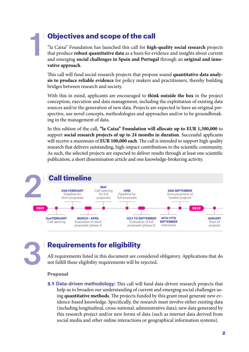## Objectives and scope of the call

"la Caixa" Foundation has launched this call for **high-quality social research** projects that produce **robust quantitative data** as a basis for evidence and insights about current and emerging **social challenges in Spain and Portugal** through an **original and innovative approach**.

This call will fund social research projects that propose sound **quantitative data analysis to produce reliable evidence** for policy makers and practitioners, thereby building bridges between research and society.

With this in mind, applicants are encouraged to **think outside the box** in the project conception, execution and data management, including the exploitation of existing data sources and/or the generation of new data. Projects are expected to have an original perspective, use novel concepts, methodologies and approaches and/or to be groundbreaking in the management of data.

In this edition of the call, **"la Caixa" Foundation will allocate up to EUR 1,500,000** to support **social research projects of up to 24 months in duration**. Successful applicants will receive a maximum of **EUR 100,000 each**. The call is intended to support high quality research that delivers outstanding, high-impact contributions to the scientific community. As such, the selected projects are expected to deliver results through at least one scientific publication, a short dissemination article and one knowledge-brokering activity.



3

1

## Requirements for eligibility

All requirements listed in this document are considered obligatory. Applications that do not fulfill these eligibility requirements will be rejected.

#### Proposal

3.1 Data-driven methodology: This call will fund data-driven research projects that help us to broaden our understanding of current and emerging social challenges using **quantitative methods**. The projects funded by this grant must generate new evidence-based knowledge. Specifically, the research must involve either existing data (including longitudinal, cross-national, administrative data); new data generated by this research project and/or new forms of data (such as internet data derived from social media and other online interactions or geographical information systems).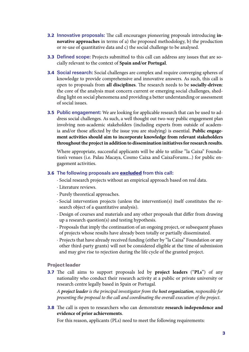- 3.2 Innovative proposals: The call encourages pioneering proposals introducing **innovative approaches** in terms of a) the proposed methodology, b) the production or re-use of quantitative data and c) the social challenge to be analysed.
- **3.3 Defined scope:** Projects submitted to this call can address any issues that are socially relevant to the context of **Spain and/or Portugal**.
- 3.4 Social research: Social challenges are complex and require converging spheres of knowledge to provide comprehensive and innovative answers. As such, this call is open to proposals from **all disciplines**. The research needs to be **socially-driven**: the core of the analysis must concern current or emerging social challenges, shedding light on social phenomena and providing a better understanding or assessment of social issues.
- **3.5 Public engagement:** We are looking for applicable research that can be used to address social challenges. As such, a well thought out two-way public engagement plan involving non-academic stakeholders (including experts from outside of academia and/or those affected by the issue you are studying) is essential. **Public engagement activities should aim to incorporate knowledge from relevant stakeholders throughout the project in addition to dissemination initiatives for research results**.

Where appropriate, successful applicants will be able to utilise "la Caixa" Foundation's venues (i.e. Palau Macaya, Cosmo Caixa and CaixaForums...) for public engagement activities.

#### **3.6** The following proposals are **excluded** from this call:

- · Social research projects without an empirical approach based on real data.
- · Literature reviews.
- · Purely theoretical approaches.
- · Social intervention projects (unless the intervention(s) itself constitutes the research object of a quantitative analysis).
- · Design of courses and materials and any other proposals that differ from drawing up a research question(s) and testing hypothesis.
- · Proposals that imply the continuation of an ongoing project, or subsequent phases of projects whose results have already been totally or partially disseminated.
- · Projects that have already received funding (either by "la Caixa" Foundation or any other third-party grants) will not be considered eligible at the time of submission and may give rise to rejection during the life cycle of the granted project.

#### Project leader

3.7 The call aims to support proposals led by **project leaders** ("**PLs**") of any nationality who conduct their research activity at a public or private university or research centre legally based in Spain or Portugal.

*A project leader is the principal investigator from the host organization, responsible for presenting the proposal to the call and coordinating the overall execution of the project.*

3.8 The call is open to researchers who can demonstrate **research independence and evidence of prior achievements**.

For this reason, applicants (PLs) need to meet the following requirements: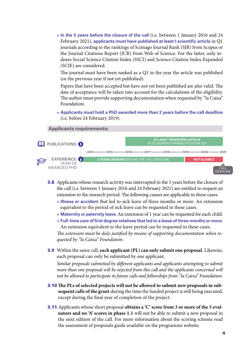» In the 5 years before the closure of the call (i.e. between 1 January 2016 and 24 February 2021), applicants must have published at least 1 scientific article in Q1 journals according to the rankings of Scimago Journal Rank (SJR) from Scopus or the Journal Citations Report (JCR) from Web of Science. For the latter, only indexes Social Science Citation Index (SSCI) and Science Citation Index Expanded (SCIE) are considered.

The journal must have been ranked as a Q1 in the year the article was published (or the previous year if not yet published).

Papers that have been accepted but have not yet been published are also valid. The date of acceptance will be taken into account for the calculations of the eligibility. The author must provide supporting documentation when requested by "la Caixa" Foundation.

» Applicants must hold a PhD awarded more than 2 years before the call deadline (i.e. before 24 February 2019).



- **3.8** Applicants whose research activity was interrupted in the 5 years before the closure of the call (i.e. between 1 January 2016 and 24 February 2021) are entitled to request an extension to the research period. The following causes are applicable in these cases:
	- » Illness or accident that led to sick leave of three months or more. An extension equivalent to the period of sick leave can be requested in these cases.
	- » Maternity or paternity leave. An extension of 1 year can be requested for each child.

» Full-time care of first degree relatives that led to a leave of three months or more. An extension equivalent to the leave period can be requested in these cases. *The extension must be duly justified by means of supporting documentation when requested by "la Caixa" Foundation.*

3.9 Within the same call, **each applicant (PL) can only submit one proposal**. Likewise, each proposal can only be submitted by one applicant.

*Similar proposals submitted by different applicants and applicants attempting to submit more than one proposal will be rejected from this call and the applicants concerned will not be allowed to participate in future calls and fellowships from "la Caixa" Foundation.*

- 3.10 **The PLs of selected projects will not be allowed to submit new proposals in subsequent calls of the grant** during the time the funded project is still being executed, except during the final year of completion of the project.
- 3.11 Applicants whose short proposal **obtains a 'C' score from 3 or more of the 5 evaluators and no 'A' scores in phase 1.1** will not be able to submit a new proposal in the next edition of the call. For more information about the scoring scheme read the assessment of proposals guide available on the programme website.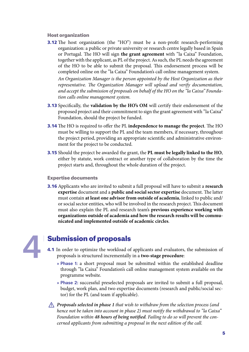#### Host organization

**3.12** The host organization (the "HO") must be a non-profit research-performing organization: a public or private university or research centre legally based in Spain or Portugal. The HO will sign **the grant agreement** with "la Caixa" Foundation, together with the applicant, as PL of the project. As such, the PL needs the agreement of the HO to be able to submit the proposal. This endorsement process will be completed online on the "la Caixa" Foundation's call online management system.

*An Organization Manager is the person appointed by the Host Organization as their representative. The Organization Manager will upload and verify documentation, and accept the submission of proposals on behalf of the HO on the "la Caixa" Foundation calls online management system.*

- **3.13** Specifically, the **validation by the HO's OM** will certify their endorsement of the proposed project and their commitment to sign the grant agreement with "la Caixa" Foundation, should the project be funded.
- 3.14 The HO is required to offer the PL **independence to manage the project**. The HO must be willing to support the PL and the team members, if necessary, throughout the project period, providing an appropriate scientific and administrative environment for the project to be conducted.
- 3.15 Should the project be awarded the grant, the **PL must be legally linked to the HO**, either by statute, work contract or another type of collaboration by the time the project starts and, throughout the whole duration of the project.

#### Expertise documents

3.16 Applicants who are invited to submit a full proposal will have to submit a **research expertise** document and a **public and social sector expertise** document. The latter must contain **at least one advisor from outside of academia**, linked to public and/ or social sector entities, who will be involved in the research project. This document must also explain the PL and research team's **previous experience working with organizations outside of academia and how the research results will be communicated and implemented outside of academic circles**.

4

## Submission of proposals

- 4.1 In order to optimize the workload of applicants and evaluators, the submission of proposals is structured incrementally in a **two-stage procedure**:
	- » Phase 1: a short proposal must be submitted within the established deadline through "la Caixa" Foundation's call online management system available on the programme website.
	- » Phase 2: successful preselected proposals are invited to submit a full proposal, budget, work plan, and two expertise documents (research and public/social sector) for the PL (and team if applicable).

*Proposals selected in phase 1 that wish to withdraw from the selection process (and hence not be taken into account in phase 2) must notify the withdrawal to "la Caixa" Foundation within 48 hours of being notified. Failing to do so will prevent the concerned applicants from submitting a proposal in the next edition of the call.*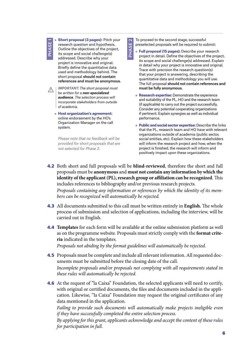PHASE<sub>1</sub>

» **Short proposal (3 pages):** Pitch your research question and hypothesis. Outline the objectives of the project, its scope and social challenge(s) addressed. Describe why your project is innovative and original. Briefly define the quantitative data used and methodology behind. The short proposal should not contain references and must be anonymous.

*IMPORTANT: The short proposal must be written for a non-specialized audience. The selection process will incorporate stakeholders from outside of academia.*

» **Host organization's agreement:** online endorsement by the HO's Organization Manager on the call system.

*Please note that no feedback will be provided for short proposals that are not selected for Phase 2.*

To proceed to the second stage, successful preselected proposals will be required to submit:

- » **Full proposal (15 pages):** Describe your research project in detail. Define the objectives of the project, its scope and social challenge(s) addressed. Explain in detail why your project is innovative and original. Trace with precision the research question(s) that your project is answering, describing the quantitative data and methodology you will use. The full proposal should not contain references and must be fully anonymous.
- » **Research expertise:** Demonstrate the experience and suitability of the PL, HO and the research team (if applicable) to carry out the project successfully. Consider any potential cooperating organizations if pertinent. Explain synergies as well as individual performance.
- » **Public and social sector expertise:** Describe the links that the PL, research team and HO have with relevant organizations outside of academia (public sector, social entities, etc). Explain how these stakeholders will inform the research project and how, when the project is finished, the research will inform and positively impact upon these organizations.
- 4.2 Both short and full proposals will be **blind-reviewed**, therefore the short and full proposals must be **anonymous** and **must not contain any information by which the identity of the applicant (PL), research group or affiliation can be recognized**. This includes references to bibliography and/or previous research projects.

PHASE<sub>2</sub> PHASE 2

*Proposals containing any information or references by which the identity of its members can be recognized will automatically be rejected.*

- 4.3 All documents submitted to this call must be written entirely in **English.** The whole process of submission and selection of applications, including the interview, will be carried out in English.
- 4.4 **Templates** for each form will be available at the online submission platform as well as on the programme website. Proposals must strictly comply with the **format criteria** indicated in the templates.

*Proposals not abiding by the format guidelines will automatically be rejected.*

- 4.5 Proposals must be complete and include all relevant information. All requested documents must be submitted before the closing date of the call. *Incomplete proposals and/or proposals not complying with all requirements stated in these rules will automatically be rejected.*
- **4.6** At the request of "la Caixa" Foundation, the selected applicants will need to certify, with original or certified documents, the files and documents included in the application. Likewise, "la Caixa" Foundation may request the original certificates of any data mentioned in the application.

*Failing to provide such documents will automatically make projects ineligible even if they have successfully completed the entire selection process.*

*By applying for this grant, applicants acknowledge and accept the content of these rules for participation in full.*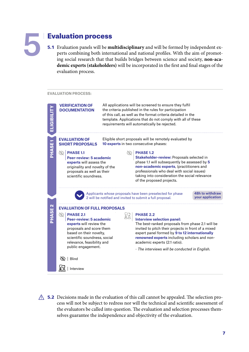

## Evaluation process

5.1 Evaluation panels will be **multidisciplinary** and will be formed by independent experts combining both international and national profiles. With the aim of promoting social research that that builds bridges between science and society, **non-academic experts (stakeholders)** will be incorporated in the first and final stages of the evaluation process.

#### **EVALUATION PROCESS:**



 $\triangle$  5.2 Decisions made in the evaluation of this call cannot be appealed. The selection process will not be subject to redress nor will the technical and scientific assessment of the evaluators be called into question. The evaluation and selection processes themselves guarantee the independence and objectivity of the evaluation.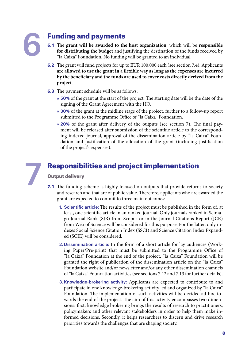# 6

7

## Funding and payments

- 6.1 The **grant will be awarded to the host organization**, which will be **responsible for distributing the budget** and justifying the destination of the funds received by "la Caixa" Foundation. No funding will be granted to an individual.
- 6.2 The grant will fund projects for up to EUR 100,000 each (see section 7.4). Applicants **are allowed to use the grant in a flexible way as long as the expenses are incurred by the beneficiary and the funds are used to cover costs directly derived from the project**.
- **6.3** The payment schedule will be as follows:
	- » 50% of the grant at the start of the project. The starting date will be the date of the signing of the Grant Agreement with the HO.
	- » 30% of the grant at the midline stage of the project, further to a follow-up report submitted to the Programme Office of "la Caixa" Foundation.
	- » 20% of the grant after delivery of the outputs (see section [7\)](#page-9-0). The final payment will be released after submission of the scientific article to the corresponding indexed journal, approval of the dissemination article by "la Caixa" Foundation and justification of the allocation of the grant (including justification of the project's expenses).

## <span id="page-9-0"></span>Responsibilities and project implementation

### Output delivery

- <span id="page-9-1"></span>**7.1** The funding scheme is highly focused on outputs that provide returns to society and research and that are of public value. Therefore, applicants who are awarded the grant are expected to commit to three main outcomes:
	- 1. Scientific article: The results of the project must be published in the form of, at least, one scientific article in an ranked journal. Only journals ranked in Scimago Journal Rank (SJR) from Scopus or in the Journal Citations Report (JCR) from Web of Science will be considered for this purpose. For the latter, only indexes Social Science Citation Index (SSCI) and Science Citation Index Expanded (SCIE) will be considered.
	- 2. Dissemination article: In the form of a short article for lay audiences (Working Paper/Pre-print) that must be submitted to the Programme Office of "la Caixa" Foundation at the end of the project. "la Caixa" Foundation will be granted the right of publication of the dissemination article on the "la Caixa" Foundation website and/or newsletter and/or any other dissemination channels of "la Caixa" Foundation activities (see sections 7.12 and 7.13 for further details).
	- 3. Knowledge-brokering activity: Applicants are expected to contribute to and participate in one knowledge-brokering activity led and organized by "la Caixa" Foundation. The implementation of such activities will be decided ad-hoc towards the end of the project. The aim of this activity encompasses two dimensions: first, knowledge brokering brings the results of research to practitioners, policymakers and other relevant stakeholders in order to help them make informed decisions. Secondly, it helps researchers to discern and drive research priorities towards the challenges that are shaping society.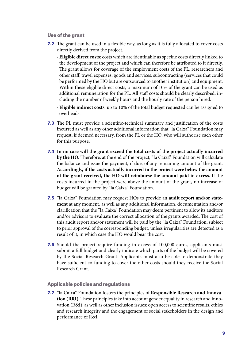#### Use of the grant

**7.2** The grant can be used in a flexible way, as long as it is fully allocated to cover costs directly derived from the project**.**

· **Eligible direct costs**: costs which are identifiable as specific costs directly linked to the development of the project and which can therefore be attributed to it directly. The grant allows for coverage of the employment costs of the PL, researchers and other staff, travel expenses, goods and services, subcontracting (services that could be performed by the HO but are outsourced to another institution) and equipment. Within these eligible direct costs, a maximum of 10% of the grant can be used as additional remuneration for the PL. All staff costs should be clearly described, including the number of weekly hours and the hourly rate of the person hired.

· **Eligible indirect costs**: up to 10% of the total budget requested can be assigned to overheads.

- 7.3 The PL must provide a scientific-technical summary and justification of the costs incurred as well as any other additional information that "la Caixa" Foundation may request, if deemed necessary, from the PL or the HO, who will authorise each other for this purpose.
- 7.4 **In no case will the grant exceed the total costs of the project actually incurred by the HO.** Therefore, at the end of the project, "la Caixa" Foundation will calculate the balance and issue the payment, if due, of any remaining amount of the grant. **Accordingly, if the costs actually incurred in the project were below the amount of the grant received, the HO will reimburse the amount paid in excess.** If the costs incurred in the project were above the amount of the grant, no increase of budget will be granted by "la Caixa" Foundation.
- 7.5 "la Caixa" Foundation may request HOs to provide an **audit report and/or statement** at any moment, as well as any additional information, documentation and/or clarification that the "la Caixa" Foundation may deem pertinent to allow its auditors and/or advisors to evaluate the correct allocation of the grants awarded. The cost of this audit report and/or statement will be paid by the "la Caixa" Foundation, subject to prior approval of the corresponding budget, unless irregularities are detected as a result of it, in which case the HO would bear the cost.
- 7.6 Should the project require funding in excess of 100,000 euros, applicants must submit a full budget and clearly indicate which parts of the budget will be covered by the Social Research Grant. Applicants must also be able to demonstrate they have sufficient co-funding to cover the other costs should they receive the Social Research Grant.

#### Applicable policies and regulations

7.7 "la Caixa" Foundation fosters the principles of **Responsible Research and Innovation (RRI)**. These principles take into account gender equality in research and innovation (R&I), as well as other inclusion issues; open access to scientific results, ethics and research integrity and the engagement of social stakeholders in the design and performance of R&I.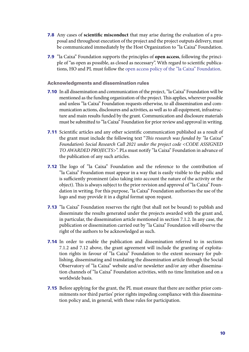- 7.8 Any cases of **scientific misconduct** that may arise during the evaluation of a proposal and throughout execution of the project and the project outputs delivery, must be communicated immediately by the Host Organization to "la Caixa" Foundation.
- 7.9 "la Caixa" Foundation supports the principles of **open access**, following the principle of "as open as possible, as closed as necessary". With regard to scientific publications, HO and PL must follow the [open access policy of the "la Caixa" Foundation.](https://obrasociallacaixa.org/documents/10280/692563/politica_acceso_abierto_en.pdf/c5801c90-1fff-43d7-a8fb-6b3fa48b6539)

#### Acknowledgments and dissemination rules

- 7.10 In all dissemination and communication of the project, "la Caixa" Foundation will be mentioned as the funding organization of the project. This applies, wherever possible and unless "la Caixa" Foundation requests otherwise, to all dissemination and communication actions, disclosures and activities, as well as to all equipment, infrastructure and main results funded by the grant. Communication and disclosure materials must be submitted to "la Caixa" Foundation for prior review and approval in writing.
- 7.11 Scientific articles and any other scientific communication published as a result of the grant must include the following text "*This research was funded by "la Caixa" Foundation's Social Research Call 2021 under the project code <CODE ASSIGNED TO AWARDED PROJECTS>*". PLs must notify "la Caixa" Foundation in advance of the publication of any such articles.
- **7.12** The logo of "la Caixa" Foundation and the reference to the contribution of "la Caixa" Foundation must appear in a way that is easily visible to the public and is sufficiently prominent (also taking into account the nature of the activity or the object). This is always subject to the prior revision and approval of "la Caixa" Foundation in writing. For this purpose, "la Caixa" Foundation authorises the use of the logo and may provide it in a digital format upon request.
- 7.13 "la Caixa" Foundation reserves the right (but shall not be bound) to publish and disseminate the results generated under the projects awarded with the grant and, in particular, the dissemination article mentioned in section [7.1.2](#page-9-1). In any case, the publication or dissemination carried out by "la Caixa" Foundation will observe the right of the authors to be acknowledged as such.
- 7.14 In order to enable the publication and dissemination referred to in sections [7.1.2](#page-9-1) and 7.12 above, the grant agreement will include the granting of exploitation rights in favour of "la Caixa" Foundation to the extent necessary for publishing, disseminating and translating the dissemination article through the Social Observatory of "la Caixa" website and/or newsletter and/or any other dissemination channels of "la Caixa" Foundation activities, with no time limitation and on a worldwide basis.
- **7.15** Before applying for the grant, the PL must ensure that there are neither prior commitments nor third parties' prior rights impeding compliance with this dissemination policy and, in general, with these rules for participation.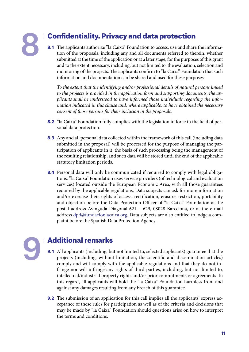# 8

## Confidentiality. Privacy and data protection

8.1 The applicants authorize "la Caixa" Foundation to access, use and share the information of the proposals, including any and all documents referred to therein, whether submitted at the time of the application or at a later stage, for the purposes of this grant and to the extent necessary, including, but not limited to, the evaluation, selection and monitoring of the projects. The applicants confirm to "la Caixa" Foundation that such information and documentation can be shared and used for these purposes.

*To the extent that the identifying and/or professional details of natural persons linked to the projects is provided in the application form and supporting documents, the applicants shall be understood to have informed those individuals regarding the information indicated in this clause and, where applicable, to have obtained the necessary consent of those persons for their inclusion in the proposals.*

- 8.2 "la Caixa" Foundation fully complies with the legislation in force in the field of personal data protection.
- 8.3 Any and all personal data collected within the framework of this call (including data submitted in the proposal) will be processed for the purpose of managing the participation of applicants in it, the basis of such processing being the management of the resulting relationship, and such data will be stored until the end of the applicable statutory limitation periods.
- 8.4 Personal data will only be communicated if required to comply with legal obligations. "la Caixa" Foundation uses service providers (of technological and evaluation services) located outside the European Economic Area, with all those guarantees required by the applicable regulations. Data subjects can ask for more information and/or exercise their rights of access, rectification, erasure, restriction, portability and objection before the Data Protection Officer of "la Caixa" Foundation at the postal address Avinguda Diagonal 621 – 629, 08028 Barcelona, or at the e-mail address [dpd@fundacionlacaixa.org.](mailto:dpd%40fundacionlacaixa.org?subject=) Data subjects are also entitled to lodge a complaint before the Spanish Data Protection Agency.



## Additional remarks

- 9.1 All applicants (including, but not limited to, selected applicants) guarantee that the projects (including, without limitation, the scientific and dissemination articles) comply and will comply with the applicable regulations and that they do not infringe nor will infringe any rights of third parties, including, but not limited to, intellectual/industrial property rights and/or prior commitments or agreements. In this regard, all applicants will hold the "la Caixa" Foundation harmless from and against any damages resulting from any breach of this guarantee.
- **9.2** The submission of an application for this call implies all the applicants' express acceptance of these rules for participation as well as of the criteria and decisions that may be made by "la Caixa" Foundation should questions arise on how to interpret the terms and conditions.